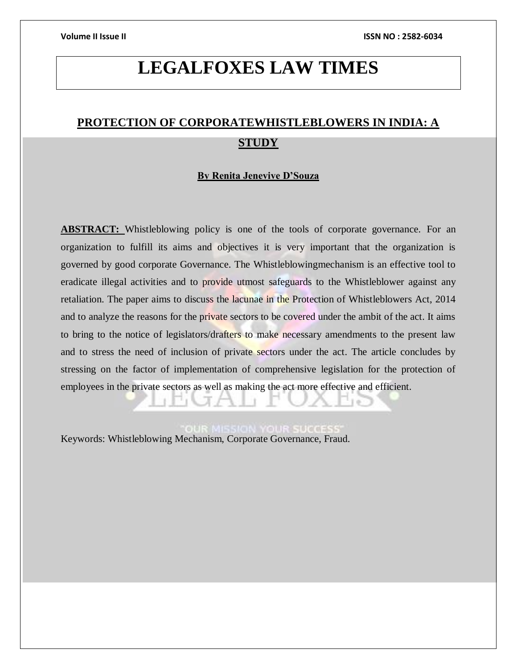# **LEGALFOXES LAW TIMES**

## **PROTECTION OF CORPORATEWHISTLEBLOWERS IN INDIA: A STUDY**

#### **By Renita Jenevive D'Souza**

**ABSTRACT:** Whistleblowing policy is one of the tools of corporate governance. For an organization to fulfill its aims and objectives it is very important that the organization is governed by good corporate Governance. The Whistleblowingmechanism is an effective tool to eradicate illegal activities and to provide utmost safeguards to the Whistleblower against any retaliation. The paper aims to discuss the lacunae in the Protection of Whistleblowers Act, 2014 and to analyze the reasons for the private sectors to be covered under the ambit of the act. It aims to bring to the notice of legislators/drafters to make necessary amendments to the present law and to stress the need of inclusion of private sectors under the act. The article concludes by stressing on the factor of implementation of comprehensive legislation for the protection of employees in the private sectors as well as making the act more effective and efficient.

Keywords: Whistleblowing Mechanism, Corporate Governance, Fraud.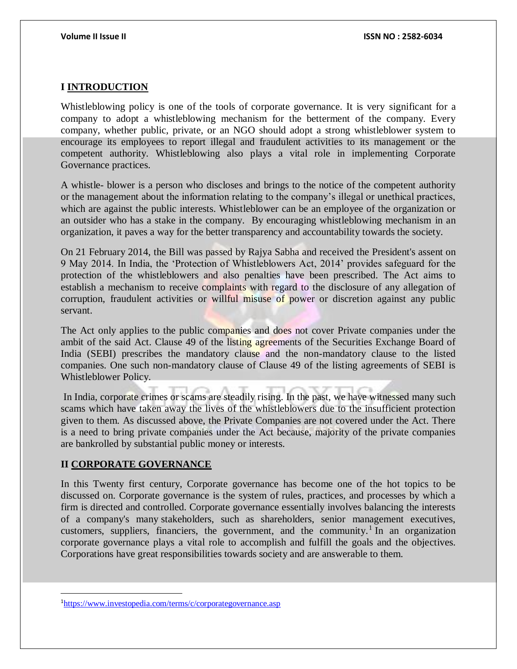### **I INTRODUCTION**

Whistleblowing policy is one of the tools of corporate governance. It is very significant for a company to adopt a whistleblowing mechanism for the betterment of the company. Every company, whether public, private, or an NGO should adopt a strong whistleblower system to encourage its employees to report illegal and fraudulent activities to its management or the competent authority. Whistleblowing also plays a vital role in implementing Corporate Governance practices.

A whistle- blower is a person who discloses and brings to the notice of the competent authority or the management about the information relating to the company's illegal or unethical practices, which are against the public interests. Whistleblower can be an employee of the organization or an outsider who has a stake in the company. By encouraging whistleblowing mechanism in an organization, it paves a way for the better transparency and accountability towards the society.

On 21 February 2014, the Bill was passed by Rajya Sabha and received the President's assent on 9 May 2014. In India, the 'Protection of Whistleblowers Act, 2014' provides safeguard for the protection of the whistleblowers and also penalties have been prescribed. The Act aims to establish a mechanism to receive complaints with regard to the disclosure of any allegation of corruption, fraudulent activities or willful misuse of power or discretion against any public servant.

The Act only applies to the public companies and does not cover Private companies under the ambit of the said Act. Clause 49 of the listing agreements of the Securities Exchange Board of India (SEBI) prescribes the mandatory clause and the non-mandatory clause to the listed companies. One such non-mandatory clause of Clause 49 of the listing agreements of SEBI is Whistleblower Policy.

In India, corporate crimes or scams are steadily rising. In the past, we have witnessed many such scams which have taken away the lives of the whistleblowers due to the insufficient protection given to them. As discussed above, the Private Companies are not covered under the Act. There is a need to bring private companies under the Act because, majority of the private companies are bankrolled by substantial public money or interests.

#### **II CORPORATE GOVERNANCE**

 $\overline{a}$ 

In this Twenty first century, Corporate governance has become one of the hot topics to be discussed on. Corporate governance is the system of rules, practices, and processes by which a firm is directed and controlled. Corporate governance essentially involves balancing the interests of a company's many [stakeholders,](https://www.investopedia.com/terms/s/stakeholder.asp) such as shareholders, senior management executives, customers, suppliers, financiers, the government, and the community.<sup>1</sup> In an organization corporate governance plays a vital role to accomplish and fulfill the goals and the objectives. Corporations have great responsibilities towards society and are answerable to them.

<sup>1</sup><https://www.investopedia.com/terms/c/corporategovernance.asp>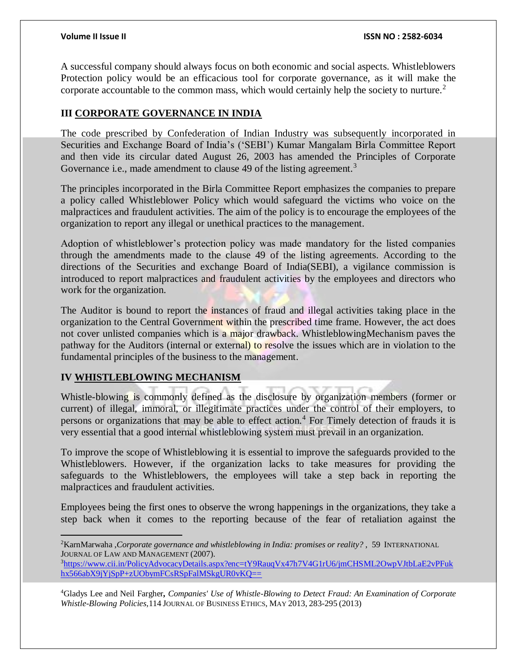A successful company should always focus on both economic and social aspects. Whistleblowers Protection policy would be an efficacious tool for corporate governance, as it will make the corporate accountable to the common mass, which would certainly help the society to nurture.<sup>2</sup>

### **III CORPORATE GOVERNANCE IN INDIA**

The code prescribed by Confederation of Indian Industry was subsequently incorporated in Securities and Exchange Board of India's ('SEBI') Kumar Mangalam Birla Committee Report and then vide its circular dated August 26, 2003 has amended the Principles of Corporate Governance i.e., made amendment to clause 49 of the listing agreement.<sup>3</sup>

The principles incorporated in the Birla Committee Report emphasizes the companies to prepare a policy called Whistleblower Policy which would safeguard the victims who voice on the malpractices and fraudulent activities. The aim of the policy is to encourage the employees of the organization to report any illegal or unethical practices to the management.

Adoption of whistleblower's protection policy was made mandatory for the listed companies through the amendments made to the clause 49 of the listing agreements. According to the directions of the Securities and exchange Board of India(SEBI), a vigilance commission is introduced to report malpractices and fraudulent activities by the employees and directors who work for the organization.

The Auditor is bound to report the instances of fraud and illegal activities taking place in the organization to the Central Government within the prescribed time frame. However, the act does not cover unlisted companies which is a major drawback. WhistleblowingMechanism paves the pathway for the Auditors (internal or external) to resolve the issues which are in violation to the fundamental principles of the business to the management.

### **IV WHISTLEBLOWING MECHANISM**

Whistle-blowing is commonly defined as the disclosure by organization members (former or current) of illegal, immoral, or illegitimate practices under the control of their employers, to persons or organizations that may be able to effect action.<sup>4</sup> For Timely detection of frauds it is very essential that a good internal whistleblowing system must prevail in an organization.

To improve the scope of Whistleblowing it is essential to improve the safeguards provided to the Whistleblowers. However, if the organization lacks to take measures for providing the safeguards to the Whistleblowers, the employees will take a step back in reporting the malpractices and fraudulent activities.

Employees being the first ones to observe the wrong happenings in the organizations, they take a step back when it comes to the reporting because of the fear of retaliation against the

 $\overline{a}$ <sup>2</sup>KarnMarwaha ,*Corporate governance and whistleblowing in India: promises or reality?* , 59 INTERNATIONAL JOURNAL OF LAW AND MANAGEMENT (2007).

<sup>3</sup>[https://www.cii.in/PolicyAdvocacyDetails.aspx?enc=tY9RauqVx47h7V4G1rU6/jmCHSML2OwpVJtbLaE2vPFuk](https://www.cii.in/PolicyAdvocacyDetails.aspx?enc=tY9RauqVx47h7V4G1rU6/jmCHSML2OwpVJtbLaE2vPFukhx566abX9jYjSpP+zUObymFCsRSpFalMSkgUR0vKQ==) [hx566abX9jYjSpP+zUObymFCsRSpFalMSkgUR0vKQ==](https://www.cii.in/PolicyAdvocacyDetails.aspx?enc=tY9RauqVx47h7V4G1rU6/jmCHSML2OwpVJtbLaE2vPFukhx566abX9jYjSpP+zUObymFCsRSpFalMSkgUR0vKQ==)

<sup>4</sup>Gladys Lee and Neil Fargher*, Companies' Use of Whistle-Blowing to Detect Fraud: An Examination of Corporate Whistle-Blowing Policies,*114 JOURNAL OF BUSINESS ETHICS, MAY 2013, 283-295 (2013)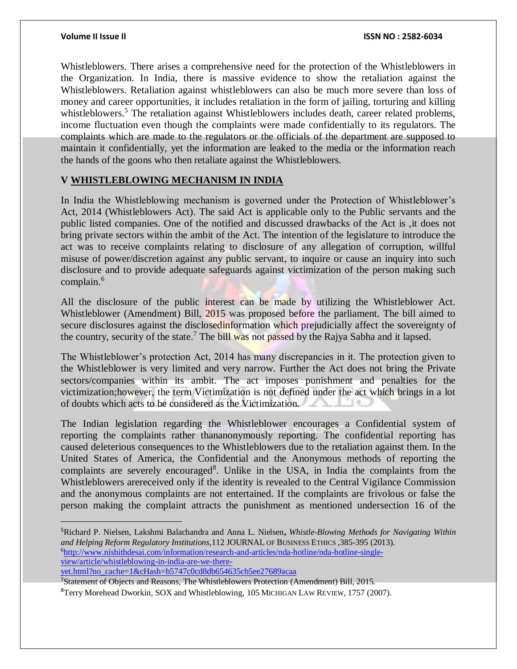$\overline{a}$ 

Whistleblowers. There arises a comprehensive need for the protection of the Whistleblowers in the Organization. In India, there is massive evidence to show the retaliation against the Whistleblowers. Retaliation against whistleblowers can also be much more severe than loss of money and career opportunities, it includes retaliation in the form of jailing, torturing and killing whistleblowers.<sup>5</sup> The retaliation against Whistleblowers includes death, career related problems, income fluctuation even though the complaints were made confidentially to its regulators. The complaints which are made to the regulators or the officials of the department are supposed to maintain it confidentially, yet the information are leaked to the media or the information reach the hands of the goons who then retaliate against the Whistleblowers.

### **V WHISTLEBLOWING MECHANISM IN INDIA**

In India the Whistleblowing mechanism is governed under the Protection of Whistleblower's Act, 2014 (Whistleblowers Act). The said Act is applicable only to the Public servants and the public listed companies. One of the notified and discussed drawbacks of the Act is ,it does not bring private sectors within the ambit of the Act. The intention of the legislature to introduce the act was to receive complaints relating to disclosure of any allegation of corruption, willful misuse of power/discretion against any public servant, to inquire or cause an inquiry into such disclosure and to provide adequate safeguards against victimization of the person making such complain.<sup>6</sup>

All the disclosure of the public interest can be made by utilizing the Whistleblower Act. Whistleblower (Amendment) Bill, 2015 was proposed before the parliament. The bill aimed to secure disclosures against the disclosedinformation which prejudicially affect the sovereignty of the country, security of the state.<sup>7</sup> The bill was not passed by the Rajya Sabha and it lapsed.

The Whistleblower's protection Act, 2014 has many discrepancies in it. The protection given to the Whistleblower is very limited and very narrow. Further the Act does not bring the Private sectors/companies within its ambit. The act imposes punishment and penalties for the victimization;however, the term Victimization is not defined under the act which brings in a lot of doubts which acts to be considered as the Victimization.

The Indian legislation regarding the Whistleblower encourages a Confidential system of reporting the complaints rather thananonymously reporting. The confidential reporting has caused deleterious consequences to the Whistleblowers due to the retaliation against them. In the United States of America, the Confidential and the Anonymous methods of reporting the complaints are severely encouraged<sup>8</sup>. Unlike in the USA, in India the complaints from the Whistleblowers arereceived only if the identity is revealed to the Central Vigilance Commission and the anonymous complaints are not entertained. If the complaints are frivolous or false the person making the complaint attracts the punishment as mentioned undersection 16 of the

<sup>7</sup>Statement of Objects and Reasons, The Whistleblowers Protection (Amendment) Bill, 2015.

<sup>8</sup>Terry Morehead Dworkin, SOX and Whistleblowing, 105 MICHIGAN LAW REVIEW, 1757 (2007).

<sup>5</sup>Richard P. Nielsen, Lakshmi Balachandra and Anna L. Nielsen**,** *Whistle-Blowing Methods for Navigating Within and Helping Reform Regulatory Institutions,*112 JOURNAL OF BUSINESS ETHICS ,385-395 (2013). 6[http://www.nishithdesai.com/information/research-and-articles/nda-hotline/nda-hotline-single](http://www.nishithdesai.com/information/research-and-articles/nda-hotline/nda-hotline-single-view/article/whistleblowing-in-india-are-we-there-yet.html?no_cache=1&cHash=b5747c0cd8db654635cb5ee27689acaa)[view/article/whistleblowing-in-india-are-we-there](http://www.nishithdesai.com/information/research-and-articles/nda-hotline/nda-hotline-single-view/article/whistleblowing-in-india-are-we-there-yet.html?no_cache=1&cHash=b5747c0cd8db654635cb5ee27689acaa)[yet.html?no\\_cache=1&cHash=b5747c0cd8db654635cb5ee27689acaa](http://www.nishithdesai.com/information/research-and-articles/nda-hotline/nda-hotline-single-view/article/whistleblowing-in-india-are-we-there-yet.html?no_cache=1&cHash=b5747c0cd8db654635cb5ee27689acaa)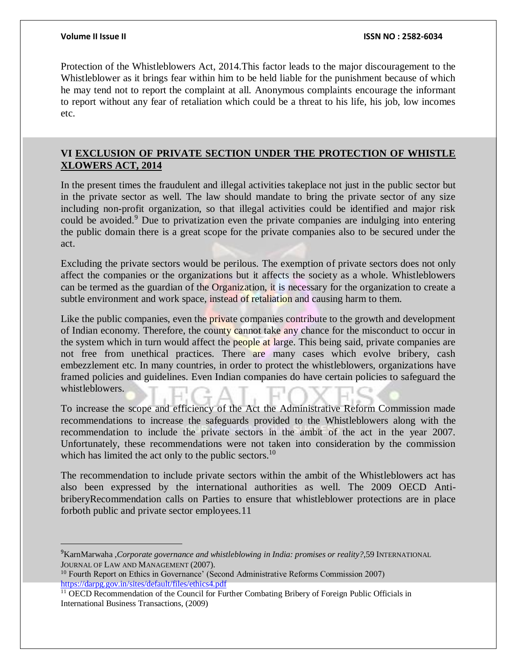$\overline{a}$ 

Protection of the Whistleblowers Act, 2014.This factor leads to the major discouragement to the Whistleblower as it brings fear within him to be held liable for the punishment because of which he may tend not to report the complaint at all. Anonymous complaints encourage the informant to report without any fear of retaliation which could be a threat to his life, his job, low incomes etc.

### **VI EXCLUSION OF PRIVATE SECTION UNDER THE PROTECTION OF WHISTLE XLOWERS ACT, 2014**

In the present times the fraudulent and illegal activities takeplace not just in the public sector but in the private sector as well. The law should mandate to bring the private sector of any size including non-profit organization, so that illegal activities could be identified and major risk could be avoided.<sup>9</sup> Due to privatization even the private companies are indulging into entering the public domain there is a great scope for the private companies also to be secured under the act.

Excluding the private sectors would be perilous. The exemption of private sectors does not only affect the companies or the organizations but it affects the society as a whole. Whistleblowers can be termed as the guardian of the Organization, it is necessary for the organization to create a subtle environment and work space, instead of retaliation and causing harm to them.

Like the public companies, even the private companies contribute to the growth and development of Indian economy. Therefore, the county cannot take any chance for the misconduct to occur in the system which in turn would affect the people at large. This being said, private companies are not free from unethical practices. There are many cases which evolve bribery, cash embezzlement etc. In many countries, in order to protect the whistleblowers, organizations have framed policies and guidelines. Even Indian companies do have certain policies to safeguard the whistleblowers.

To increase the scope and efficiency of the Act the Administrative Reform Commission made recommendations to increase the safeguards provided to the Whistleblowers along with the recommendation to include the private sectors in the ambit of the act in the year 2007. Unfortunately, these recommendations were not taken into consideration by the commission which has limited the act only to the public sectors.<sup>10</sup>

The recommendation to include private sectors within the ambit of the Whistleblowers act has also been expressed by the international authorities as well. The 2009 OECD AntibriberyRecommendation calls on Parties to ensure that whistleblower protections are in place forboth public and private sector employees.11

<sup>9</sup>KarnMarwaha ,*Corporate governance and whistleblowing in India: promises or reality?*,59 INTERNATIONAL JOURNAL OF LAW AND MANAGEMENT (2007).

<sup>&</sup>lt;sup>10</sup> Fourth Report on Ethics in Governance' (Second Administrative Reforms Commission 2007) <https://darpg.gov.in/sites/default/files/ethics4.pdf>

<sup>&</sup>lt;sup>11</sup> OECD Recommendation of the Council for Further Combating Bribery of Foreign Public Officials in International Business Transactions, (2009)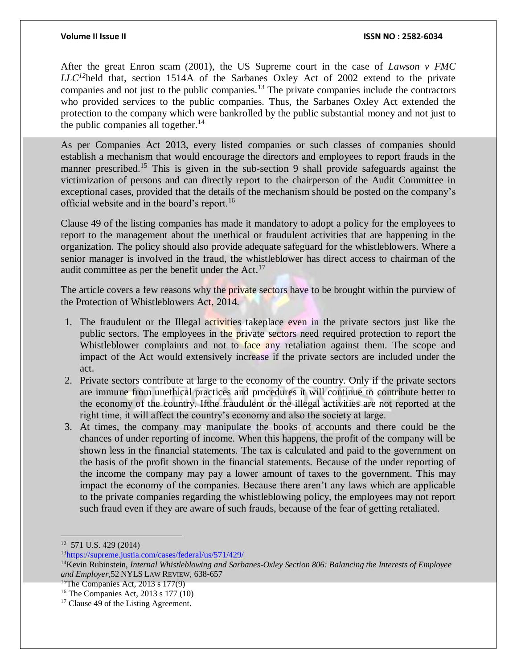After the great Enron scam (2001), the US Supreme court in the case of *Lawson v FMC LLC<sup>12</sup>*held that, section 1514A of the Sarbanes Oxley Act of 2002 extend to the private companies and not just to the public companies.<sup>13</sup> The private companies include the contractors who provided services to the public companies. Thus, the Sarbanes Oxley Act extended the protection to the company which were bankrolled by the public substantial money and not just to the public companies all together. $14$ 

As per Companies Act 2013, every listed companies or such classes of companies should establish a mechanism that would encourage the directors and employees to report frauds in the manner prescribed.<sup>15</sup> This is given in the sub-section 9 shall provide safeguards against the victimization of persons and can directly report to the chairperson of the Audit Committee in exceptional cases, provided that the details of the mechanism should be posted on the company's official website and in the board's report.<sup>16</sup>

Clause 49 of the listing companies has made it mandatory to adopt a policy for the employees to report to the management about the unethical or fraudulent activities that are happening in the organization. The policy should also provide adequate safeguard for the whistleblowers. Where a senior manager is involved in the fraud, the whistleblower has direct access to chairman of the audit committee as per the benefit under the  $Act.$ <sup>17</sup>

The article covers a few reasons why the private sectors have to be brought within the purview of the Protection of Whistleblowers Act, 2014.

- 1. The fraudulent or the Illegal activities takeplace even in the private sectors just like the public sectors. The employees in the private sectors need required protection to report the Whistleblower complaints and not to face any retaliation against them. The scope and impact of the Act would extensively increase if the private sectors are included under the act.
- 2. Private sectors contribute at large to the economy of the country. Only if the private sectors are immune from unethical practices and procedures it will continue to contribute better to the economy of the country. Ifthe fraudulent or the illegal activities are not reported at the right time, it will affect the country's economy and also the society at large.
- 3. At times, the company may manipulate the books of accounts and there could be the chances of under reporting of income. When this happens, the profit of the company will be shown less in the financial statements. The tax is calculated and paid to the government on the basis of the profit shown in the financial statements. Because of the under reporting of the income the company may pay a lower amount of taxes to the government. This may impact the economy of the companies. Because there aren't any laws which are applicable to the private companies regarding the whistleblowing policy, the employees may not report such fraud even if they are aware of such frauds, because of the fear of getting retaliated.

 $\overline{a}$ 12 571 U.S. 429 (2014)

<sup>13</sup><https://supreme.justia.com/cases/federal/us/571/429/>

<sup>14</sup>Kevin Rubinstein, *Internal Whistleblowing and Sarbanes-Oxley Section 806: Balancing the Interests of Employee and Employer,*52 NYLS LAW REVIEW, 638-657

<sup>&</sup>lt;sup>15</sup>The Companies Act, 2013 s 177(9)

<sup>16</sup> The Companies Act, 2013 s 177 (10)

<sup>&</sup>lt;sup>17</sup> Clause 49 of the Listing Agreement.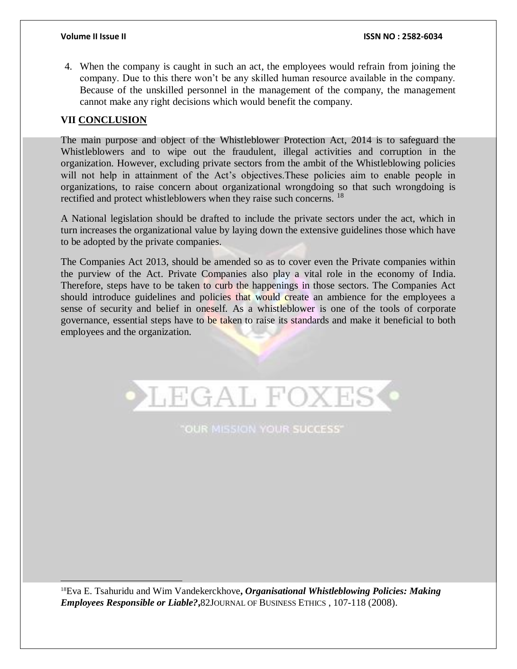4. When the company is caught in such an act, the employees would refrain from joining the company. Due to this there won't be any skilled human resource available in the company. Because of the unskilled personnel in the management of the company, the management cannot make any right decisions which would benefit the company.

### **VII CONCLUSION**

 $\overline{a}$ 

The main purpose and object of the Whistleblower Protection Act, 2014 is to safeguard the Whistleblowers and to wipe out the fraudulent, illegal activities and corruption in the organization. However, excluding private sectors from the ambit of the Whistleblowing policies will not help in attainment of the Act's objectives.These policies aim to enable people in organizations, to raise concern about organizational wrongdoing so that such wrongdoing is rectified and protect whistleblowers when they raise such concerns. <sup>18</sup>

A National legislation should be drafted to include the private sectors under the act, which in turn increases the organizational value by laying down the extensive guidelines those which have to be adopted by the private companies.

The Companies Act 2013, should be amended so as to cover even the Private companies within the purview of the Act. Private Companies also play a vital role in the economy of India. Therefore, steps have to be taken to curb the happenings in those sectors. The Companies Act should introduce guidelines and policies that would create an ambience for the employees a sense of security and belief in oneself. As a whistleblower is one of the tools of corporate governance, essential steps have to be taken to raise its standards and make it beneficial to both employees and the organization.



**LEGAL FOXES** 

<sup>18</sup>Eva E. Tsahuridu and Wim Vandekerckhove**,** *Organisational Whistleblowing Policies: Making Employees Responsible or Liable?***,**82JOURNAL OF BUSINESS ETHICS , 107-118 (2008).